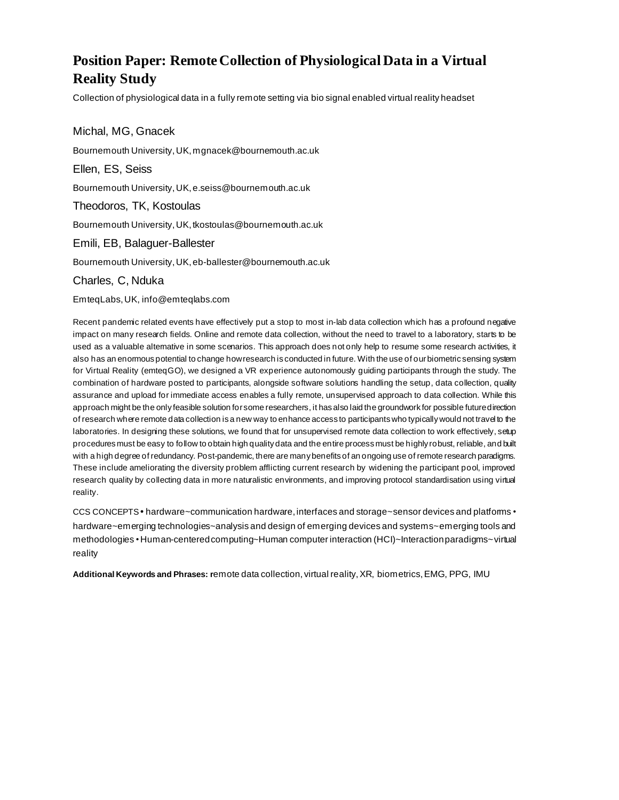# **Position Paper: Remote Collection of Physiological Data in a Virtual Reality Study**

Collection of physiological data in a fully remote setting via bio signal enabled virtual reality headset

Michal, MG, Gnacek Bournemouth University, UK, mgnacek@bournemouth.ac.uk Ellen, ES, Seiss Bournemouth University, UK, e.seiss@bournemouth.ac.uk Theodoros, TK, Kostoulas Bournemouth University, UK, tkostoulas@bournemouth.ac.uk Emili, EB, Balaguer-Ballester Bournemouth University, UK, eb-ballester@bournemouth.ac.uk

Charles, C, Nduka

EmteqLabs, UK, info@emteqlabs.com

Recent pandemic related events have effectively put a stop to most in-lab data collection which has a profound negative impact on many research fields. Online and remote data collection, without the need to travel to a laboratory, starts to be used as a valuable alternative in some scenarios. This approach does not only help to resume some research activities, it also has an enormous potential to change how research is conducted in future. With the use of our biometric sensing system for Virtual Reality (emteqGO), we designed a VR experience autonomously guiding participants through the study. The combination of hardware posted to participants, alongside software solutions handling the setup, data collection, quality assurance and upload for immediate access enables a fully remote, unsupervised approach to data collection. While this approach might be the only feasible solution for some researchers, it has also laid the groundwork for possible future direction of research where remote data collection isa new way to enhance access to participants who typically would not travel to the laboratories. In designing these solutions, we found that for unsupervised remote data collection to work effectively, setup procedures must be easy to follow to obtain high quality data and the entire process must be highly robust, reliable, and built with a high degree of redundancy. Post-pandemic, there are many benefits of an ongoing use of remote research paradigms. These include ameliorating the diversity problem afflicting current research by widening the participant pool, improved research quality by collecting data in more naturalistic environments, and improving protocol standardisation using virtual reality.

CCS CONCEPTS **•** hardware~communication hardware, interfaces and storage~sensor devices and platforms • hardware~emerging technologies~analysis and design of emerging devices and systems~emerging tools and methodologies • Human-centered computing~Human computer interaction (HCI)~Interaction paradigms~virtual reality

**Additional Keywords and Phrases: r**emote data collection, virtual reality, XR, biometrics, EMG, PPG, IMU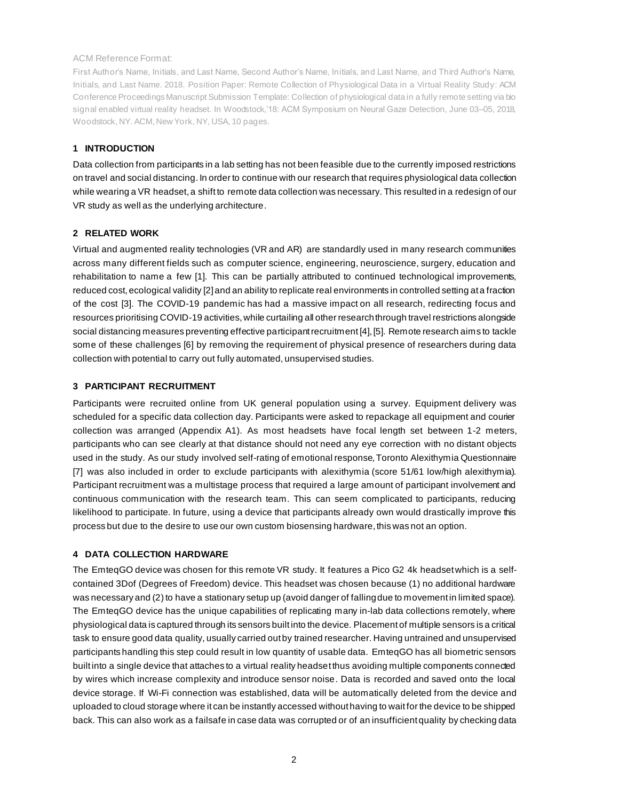#### ACM Reference Format:

First Author's Name, Initials, and Last Name, Second Author's Name, Initials, and Last Name, and Third Author's Name, Initials, and Last Name. 2018. Position Paper: Remote Collection of Physiological Data in a Virtual Reality Study: ACM Conference Proceedings Manuscript Submission Template: Collection of physiological data in a fully remote setting via bio signal enabled virtual reality headset. In Woodstock,'18: ACM Symposium on Neural Gaze Detection, June 03–05, 2018, Woodstock, NY. ACM, New York, NY, USA, 10 pages.

# **1 INTRODUCTION**

Data collection from participants in a lab setting has not been feasible due to the currently imposed restrictions on travel and social distancing. In order to continue with our research that requires physiological data collection while wearing a VR headset, a shift to remote data collection was necessary. This resulted in a redesign of our VR study as well as the underlying architecture.

# **2 RELATED WORK**

Virtual and augmented reality technologies (VR and AR) are standardly used in many research communities across many different fields such as computer science, engineering, neuroscience, surgery, education and rehabilitation to name a few [1]. This can be partially attributed to continued technological improvements, reduced cost, ecological validity [2] and an ability to replicate real environments in controlled setting at a fraction of the cost [3]. The COVID-19 pandemic has had a massive impact on all research, redirecting focus and resources prioritising COVID-19 activities, while curtailing all other research through travel restrictions alongside social distancing measures preventing effective participant recruitment [4], [5]. Remote research aims to tackle some of these challenges [6] by removing the requirement of physical presence of researchers during data collection with potential to carry out fully automated, unsupervised studies.

# **3 PARTICIPANT RECRUITMENT**

Participants were recruited online from UK general population using a survey. Equipment delivery was scheduled for a specific data collection day. Participants were asked to repackage all equipment and courier collection was arranged (Appendix A1). As most headsets have focal length set between 1-2 meters, participants who can see clearly at that distance should not need any eye correction with no distant objects used in the study. As our study involved self-rating of emotional response, Toronto Alexithymia Questionnaire [7] was also included in order to exclude participants with alexithymia (score 51/61 low/high alexithymia). Participant recruitment was a multistage process that required a large amount of participant involvement and continuous communication with the research team. This can seem complicated to participants, reducing likelihood to participate. In future, using a device that participants already own would drastically improve this process but due to the desire to use our own custom biosensing hardware, this was not an option.

#### **4 DATA COLLECTION HARDWARE**

The EmteqGO device was chosen for this remote VR study. It features a Pico G2 4k headset which is a selfcontained 3Dof (Degrees of Freedom) device. This headset was chosen because (1) no additional hardware was necessary and (2) to have a stationary setup up (avoid danger of falling due to movement in limited space). The EmteqGO device has the unique capabilities of replicating many in-lab data collections remotely, where physiological data is captured through its sensors built into the device. Placement of multiple sensors is a critical task to ensure good data quality, usually carried out by trained researcher. Having untrained and unsupervised participants handling this step could result in low quantity of usable data. EmteqGO has all biometric sensors built into a single device that attaches to a virtual reality headset thus avoiding multiple components connected by wires which increase complexity and introduce sensor noise. Data is recorded and saved onto the local device storage. If Wi-Fi connection was established, data will be automatically deleted from the device and uploaded to cloud storage where it can be instantly accessed without having to wait for the device to be shipped back. This can also work as a failsafe in case data was corrupted or of an insufficient quality by checking data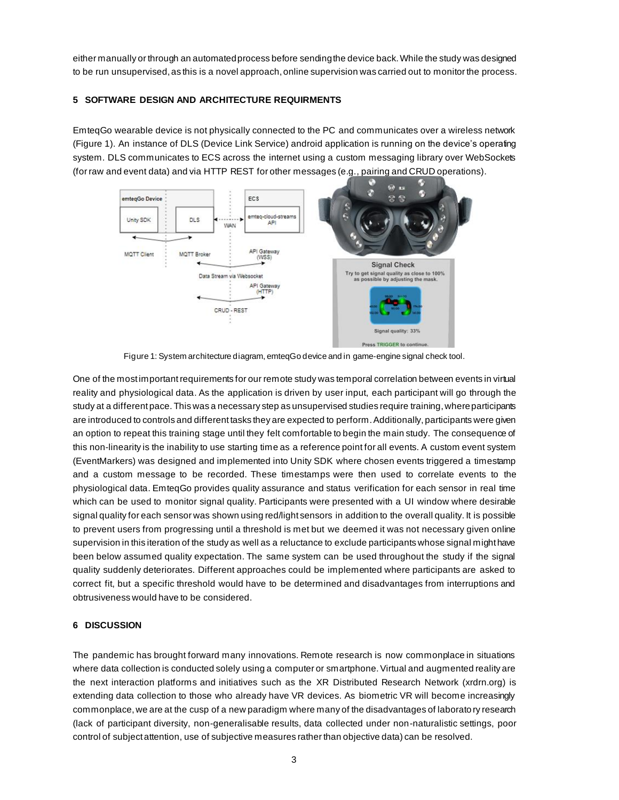either manually or through an automated process before sending the device back.While the study was designed to be run unsupervised, as this is a novel approach, online supervision was carried out to monitor the process.

# **5 SOFTWARE DESIGN AND ARCHITECTURE REQUIRMENTS**

EmteqGo wearable device is not physically connected to the PC and communicates over a wireless network (Figure 1). An instance of DLS (Device Link Service) android application is running on the device's operating system. DLS communicates to ECS across the internet using a custom messaging library over WebSockets (for raw and event data) and via HTTP REST for other messages (e.g., pairing and CRUD operations).



Figure 1: System architecture diagram, emteqGo device and in game-engine signal check tool.

One of the most important requirements for our remote study was temporal correlation between events in virtual reality and physiological data. As the application is driven by user input, each participant will go through the study at a different pace. This was a necessary step as unsupervised studies require training, where participants are introduced to controls and different tasks they are expected to perform. Additionally, participants were given an option to repeat this training stage until they felt comfortable to begin the main study. The consequence of this non-linearity is the inability to use starting time as a reference point for all events. A custom event system (EventMarkers) was designed and implemented into Unity SDK where chosen events triggered a timestamp and a custom message to be recorded. These timestamps were then used to correlate events to the physiological data. EmteqGo provides quality assurance and status verification for each sensor in real time which can be used to monitor signal quality. Participants were presented with a UI window where desirable signal quality for each sensor was shown using red/light sensors in addition to the overall quality. It is possible to prevent users from progressing until a threshold is met but we deemed it was not necessary given online supervision in this iteration of the study as well as a reluctance to exclude participants whose signal might have been below assumed quality expectation. The same system can be used throughout the study if the signal quality suddenly deteriorates. Different approaches could be implemented where participants are asked to correct fit, but a specific threshold would have to be determined and disadvantages from interruptions and obtrusiveness would have to be considered.

#### **6 DISCUSSION**

The pandemic has brought forward many innovations. Remote research is now commonplace in situations where data collection is conducted solely using a computer or smartphone. Virtual and augmented reality are the next interaction platforms and initiatives such as the XR Distributed Research Network (xrdrn.org) is extending data collection to those who already have VR devices. As biometric VR will become increasingly commonplace, we are at the cusp of a new paradigm where many of the disadvantages of laborato ry research (lack of participant diversity, non-generalisable results, data collected under non-naturalistic settings, poor control of subject attention, use of subjective measures rather than objective data) can be resolved.